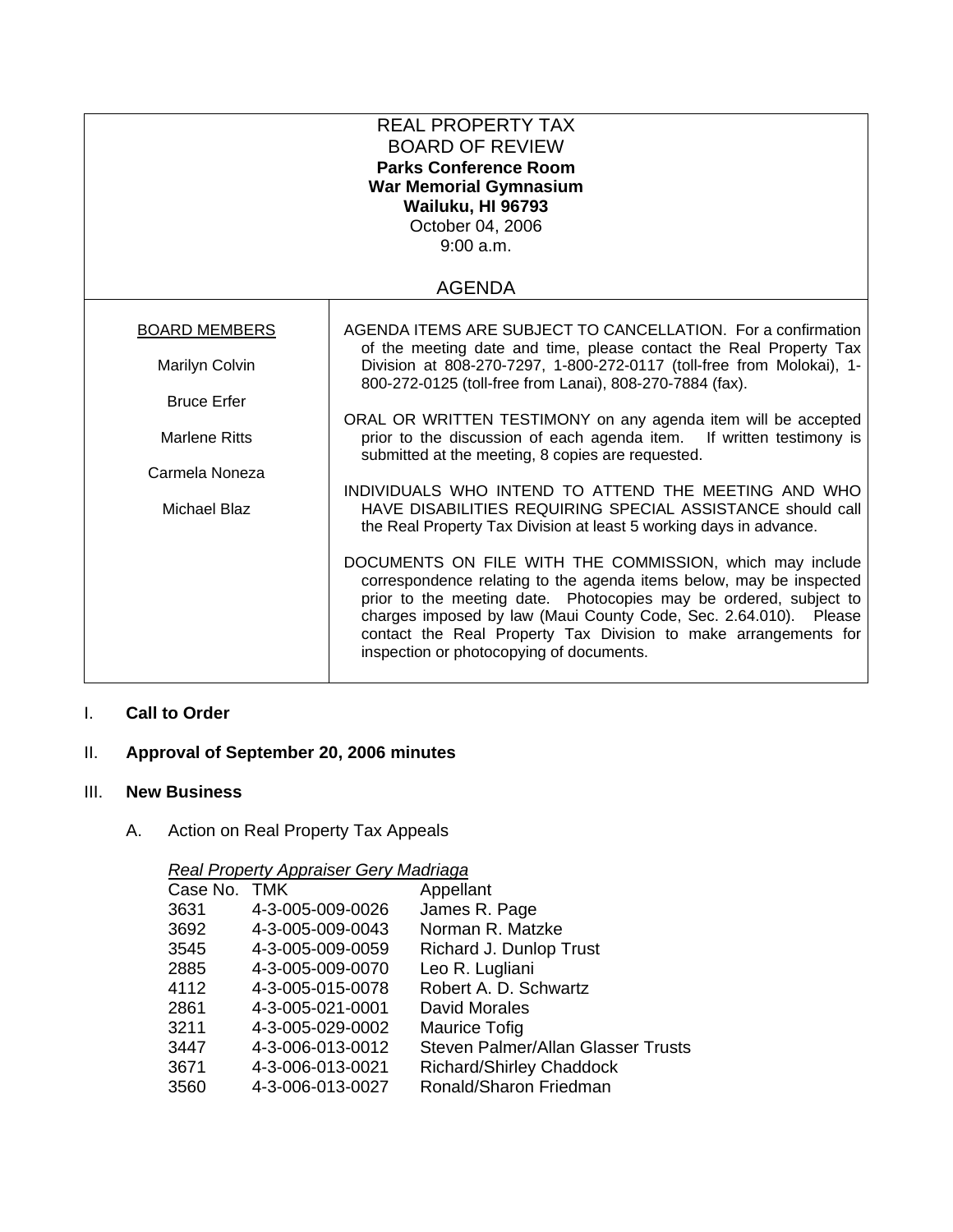|                      | <b>REAL PROPERTY TAX</b><br><b>BOARD OF REVIEW</b><br><b>Parks Conference Room</b><br><b>War Memorial Gymnasium</b><br>Wailuku, HI 96793<br>October 04, 2006<br>9:00 a.m.<br><b>AGENDA</b>                                                                                                                                                                                              |
|----------------------|-----------------------------------------------------------------------------------------------------------------------------------------------------------------------------------------------------------------------------------------------------------------------------------------------------------------------------------------------------------------------------------------|
|                      |                                                                                                                                                                                                                                                                                                                                                                                         |
| <b>BOARD MEMBERS</b> | AGENDA ITEMS ARE SUBJECT TO CANCELLATION. For a confirmation<br>of the meeting date and time, please contact the Real Property Tax                                                                                                                                                                                                                                                      |
| Marilyn Colvin       | Division at 808-270-7297, 1-800-272-0117 (toll-free from Molokai), 1-<br>800-272-0125 (toll-free from Lanai), 808-270-7884 (fax).                                                                                                                                                                                                                                                       |
| <b>Bruce Erfer</b>   |                                                                                                                                                                                                                                                                                                                                                                                         |
| <b>Marlene Ritts</b> | ORAL OR WRITTEN TESTIMONY on any agenda item will be accepted<br>prior to the discussion of each agenda item. If written testimony is<br>submitted at the meeting, 8 copies are requested.                                                                                                                                                                                              |
| Carmela Noneza       |                                                                                                                                                                                                                                                                                                                                                                                         |
| Michael Blaz         | INDIVIDUALS WHO INTEND TO ATTEND THE MEETING AND WHO<br>HAVE DISABILITIES REQUIRING SPECIAL ASSISTANCE should call<br>the Real Property Tax Division at least 5 working days in advance.                                                                                                                                                                                                |
|                      | DOCUMENTS ON FILE WITH THE COMMISSION, which may include<br>correspondence relating to the agenda items below, may be inspected<br>prior to the meeting date. Photocopies may be ordered, subject to<br>charges imposed by law (Maui County Code, Sec. 2.64.010). Please<br>contact the Real Property Tax Division to make arrangements for<br>inspection or photocopying of documents. |

# I. **Call to Order**

## II. **Approval of September 20, 2006 minutes**

#### III. **New Business**

# A. Action on Real Property Tax Appeals

#### *Real Property Appraiser Gery Madriaga*

| Case No. TMK |                  | Appellant                          |
|--------------|------------------|------------------------------------|
| 3631         | 4-3-005-009-0026 | James R. Page                      |
| 3692         | 4-3-005-009-0043 | Norman R. Matzke                   |
| 3545         | 4-3-005-009-0059 | Richard J. Dunlop Trust            |
| 2885         | 4-3-005-009-0070 | Leo R. Lugliani                    |
| 4112         | 4-3-005-015-0078 | Robert A. D. Schwartz              |
| 2861         | 4-3-005-021-0001 | David Morales                      |
| 3211         | 4-3-005-029-0002 | <b>Maurice Tofig</b>               |
| 3447         | 4-3-006-013-0012 | Steven Palmer/Allan Glasser Trusts |
| 3671         | 4-3-006-013-0021 | <b>Richard/Shirley Chaddock</b>    |
| 3560         | 4-3-006-013-0027 | Ronald/Sharon Friedman             |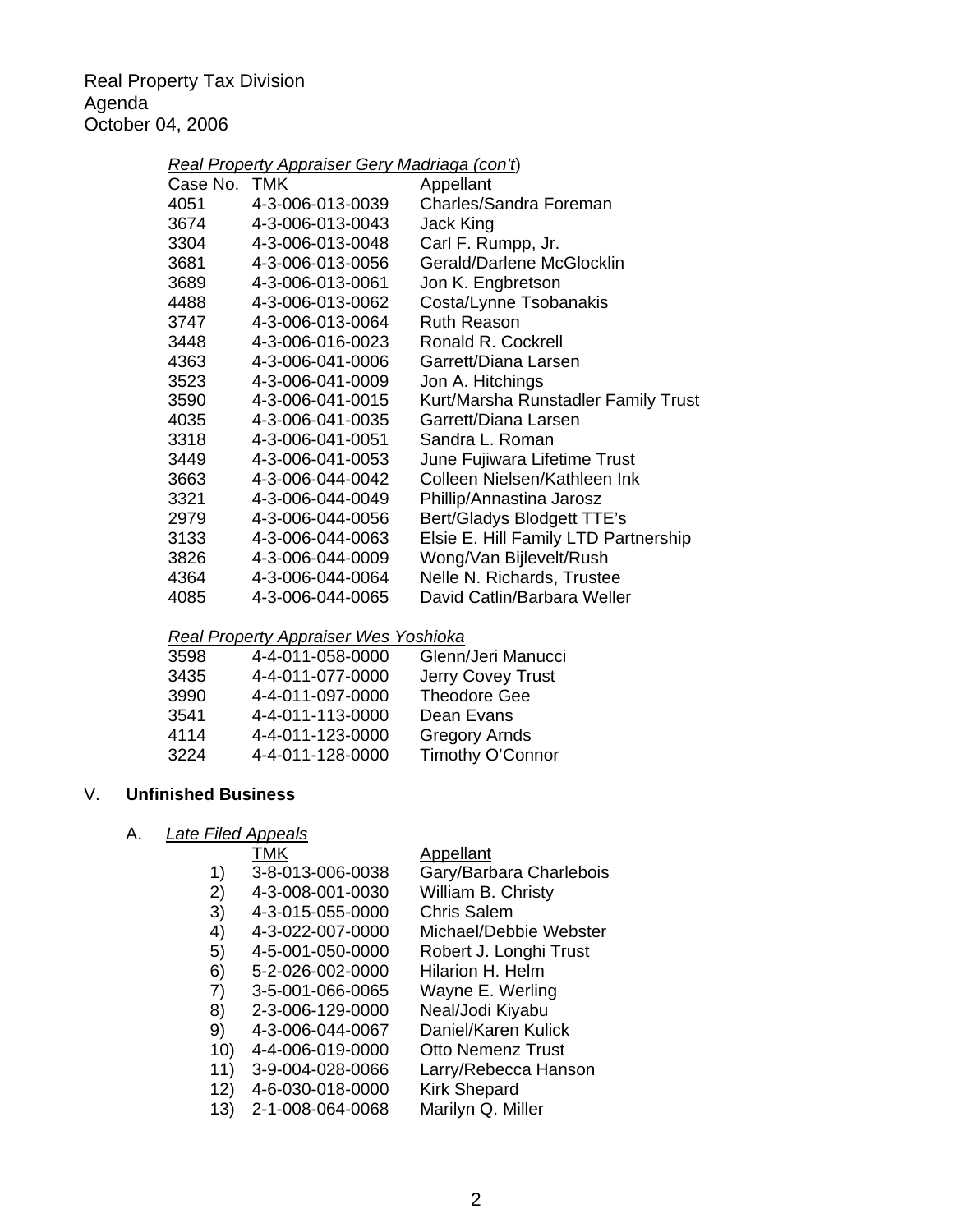Real Property Tax Division Agenda October 04, 2006

## *Real Property Appraiser Gery Madriaga (con't*)

| Case No. TMK |                  | Appellant                            |
|--------------|------------------|--------------------------------------|
| 4051         | 4-3-006-013-0039 | Charles/Sandra Foreman               |
| 3674         | 4-3-006-013-0043 | Jack King                            |
| 3304         | 4-3-006-013-0048 | Carl F. Rumpp, Jr.                   |
| 3681         | 4-3-006-013-0056 | Gerald/Darlene McGlocklin            |
| 3689         | 4-3-006-013-0061 | Jon K. Engbretson                    |
| 4488         | 4-3-006-013-0062 | Costa/Lynne Tsobanakis               |
| 3747         | 4-3-006-013-0064 | <b>Ruth Reason</b>                   |
| 3448         | 4-3-006-016-0023 | Ronald R. Cockrell                   |
| 4363         | 4-3-006-041-0006 | Garrett/Diana Larsen                 |
| 3523         | 4-3-006-041-0009 | Jon A. Hitchings                     |
| 3590         | 4-3-006-041-0015 | Kurt/Marsha Runstadler Family Trust  |
| 4035         | 4-3-006-041-0035 | Garrett/Diana Larsen                 |
| 3318         | 4-3-006-041-0051 | Sandra L. Roman                      |
| 3449         | 4-3-006-041-0053 | June Fujiwara Lifetime Trust         |
| 3663         | 4-3-006-044-0042 | Colleen Nielsen/Kathleen Ink         |
| 3321         | 4-3-006-044-0049 | Phillip/Annastina Jarosz             |
| 2979         | 4-3-006-044-0056 | Bert/Gladys Blodgett TTE's           |
| 3133         | 4-3-006-044-0063 | Elsie E. Hill Family LTD Partnership |
| 3826         | 4-3-006-044-0009 | Wong/Van Bijlevelt/Rush              |
| 4364         | 4-3-006-044-0064 | Nelle N. Richards, Trustee           |
| 4085         | 4-3-006-044-0065 | David Catlin/Barbara Weller          |
|              |                  |                                      |

## *Real Property Appraiser Wes Yoshioka*

| 3598 | 4-4-011-058-0000 | Glenn/Jeri Manucci   |
|------|------------------|----------------------|
| 3435 | 4-4-011-077-0000 | Jerry Covey Trust    |
| 3990 | 4-4-011-097-0000 | <b>Theodore Gee</b>  |
| 3541 | 4-4-011-113-0000 | Dean Evans           |
| 4114 | 4-4-011-123-0000 | <b>Gregory Arnds</b> |
| 3224 | 4-4-011-128-0000 | Timothy O'Connor     |

#### V. **Unfinished Business**

# A. *Late Filed Appeals*

#### Appellant

| 1)  | 3-8-013-006-0038 | Gary/Barbara Charlebois  |
|-----|------------------|--------------------------|
| 2)  | 4-3-008-001-0030 | William B. Christy       |
| 3)  | 4-3-015-055-0000 | <b>Chris Salem</b>       |
| 4)  | 4-3-022-007-0000 | Michael/Debbie Webster   |
| 5)  | 4-5-001-050-0000 | Robert J. Longhi Trust   |
| 6)  | 5-2-026-002-0000 | Hilarion H. Helm         |
| 7)  | 3-5-001-066-0065 | Wayne E. Werling         |
| 8)  | 2-3-006-129-0000 | Neal/Jodi Kiyabu         |
| 9)  | 4-3-006-044-0067 | Daniel/Karen Kulick      |
| 10) | 4-4-006-019-0000 | <b>Otto Nemenz Trust</b> |
| 11) | 3-9-004-028-0066 | Larry/Rebecca Hanson     |
| 12) | 4-6-030-018-0000 | <b>Kirk Shepard</b>      |
| 13) | 2-1-008-064-0068 | Marilyn Q. Miller        |